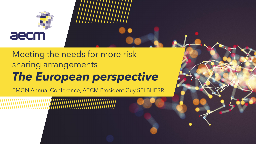

### Meeting the needs for more risksharing arrangements *The European perspective*

EMGN Annual Conference, AECM President Guy SELBHERR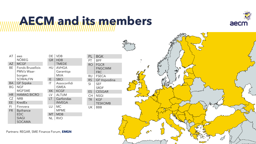### **AECM and its members**



|  | AT        | aws<br><b>NÖBEG</b>     |  | DE        | <b>VDB</b>    |
|--|-----------|-------------------------|--|-----------|---------------|
|  |           |                         |  | GR        | <b>HDB</b>    |
|  | <b>AZ</b> | <b>MCGF</b>             |  |           | <b>TMEDE</b>  |
|  | ВE        | <b>Fonds Bruxellois</b> |  | HU        | <b>AVHGA</b>  |
|  |           | PMV/z Waar-             |  |           | Garantiga     |
|  |           | borgen                  |  |           | MVA           |
|  |           | <b>SOWALFIN</b>         |  | ΙE        | <b>SBCI</b>   |
|  | ВA        | <b>GF Srpska</b>        |  | ΙT        | Assoconfidi   |
|  | ΒG        | <b>NGF</b>              |  |           | <b>ISMEA</b>  |
|  |           | <b>MGFSME</b>           |  | <b>XK</b> | <b>KCGF</b>   |
|  | <b>HR</b> | <b>HAMAG BICRO</b>      |  | LV        | <b>ALTUM</b>  |
|  | CZ        | <b>NRB</b>              |  | LT        | Garfondas     |
|  | <b>EE</b> | <b>KredEx</b>           |  |           | <b>INVEGA</b> |
|  | FI        | Finnvera                |  | LU        | МC            |
|  | <b>FR</b> | <b>Bpifrance</b>        |  |           | MPME          |
|  |           | <b>EDC</b>              |  | МT        | MDB           |
|  |           | <b>SIAGI</b>            |  | ΝL        | RVO           |
|  |           | SOCAMA                  |  |           |               |

| PL        | BGK                 |
|-----------|---------------------|
| PT        | BPF                 |
| <b>RO</b> | <b>FGCR</b>         |
|           | <b>FNGCIMM</b>      |
|           | FRC                 |
| RU        | <b>FSECA</b>        |
| <b>RS</b> | <b>GF Vojvodina</b> |
| SI        | <b>SEF</b>          |
|           | <b>SRDF</b>         |
| ES        | <b>CESGAR</b>       |
| CH        | NSGI                |
| <b>TR</b> | <b>KGF</b>          |
|           | <b>TESKOMB</b>      |
| UK        | BBB                 |
|           |                     |



Partners: REGAR, SME Finance Forum, **EMGN**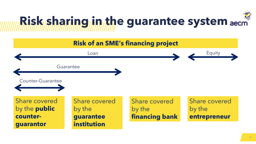

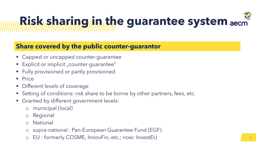### **Share covered by the public counter-guarantor**

- Capped or uncapped counter-guarantee
- Explicit or implicit "counter-guarantee"
- Fully provisioned or partly provisioned
- Price
- Different levels of coverage
- Setting of conditions: risk share to be borne by other partners, fees, etc.
- Granted by different government levels:
	- o municipal (local)
	- o Regional
	- o National
	- o supra-national : Pan-European Guarantee Fund (EGF)
	- o EU : formerly COSME, InnovFin, etc.; now: InvestEU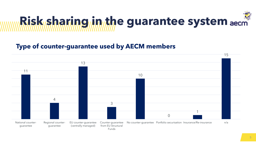

#### **Type of counter-guarantee used by AECM members**

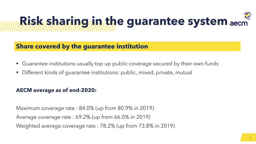### **Share covered by the guarantee institution**

- Guarantee institutions usually top up public coverage secured by their own funds
- Different kinds of guarantee institutions: public, mixed, private, mutual

#### **AECM average as of end-2020:**

Maximum coverage rate : 84.0% (up from 80.9% in 2019) Average coverage rate : 69.2% (up from 66.0% in 2019) Weighted average coverage rate : 78.2% (up from 73.8% in 2019)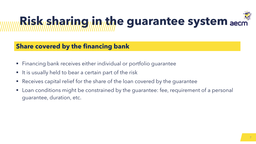#### **Share covered by the financing bank**

- Financing bank receives either individual or portfolio guarantee
- It is usually held to bear a certain part of the risk
- Receives capital relief for the share of the loan covered by the quarantee
- Loan conditions might be constrained by the guarantee: fee, requirement of a personal guarantee, duration, etc.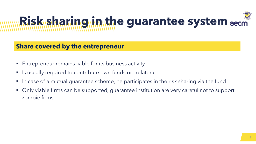#### **Share covered by the entrepreneur**

- Entrepreneur remains liable for its business activity
- **E** Is usually required to contribute own funds or collateral
- In case of a mutual guarantee scheme, he participates in the risk sharing via the fund
- Only viable firms can be supported, guarantee institution are very careful not to support zombie firms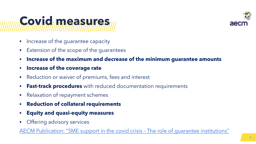

### **Covid measures**

- Increase of the quarantee capacity
- Extension of the scope of the guarantees
- **Increase of the maximum and decrease of the minimum guarantee amounts**
- **Increase of the coverage rate**
- Reduction or waiver of premiums, fees and interest
- **East-track procedures** with reduced documentation requirements
- Relaxation of repayment schemes
- **Reduction of collateral requirements**
- **Equity and quasi-equity measures**
- Offering advisory services

AECM [Publication:](https://www.flipsnack.com/aecmeurope/aecm-covid-brochure/full-view.html) "SME support in the covid crisis – The role of guarantee institutions"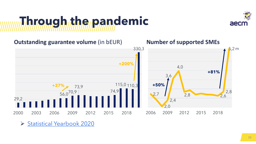## **Through the pandemic**





➢ Statistical [Yearbook](https://www.flipsnack.com/AECMeurope/aecm-statistical-yearbook-2020/full-view.html) 2020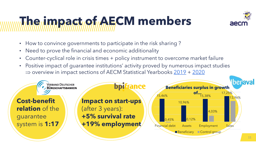

## **The impact of AECM members**

- How to convince governments to participate in the risk sharing ?
- Need to prove the financial and economic additionality
- Counter-cyclical role in crisis times + policy instrument to overcome market failure
- Positive impact of guarantee institutions' activity proved by numerous impact studies  $\Rightarrow$  overview in impact sections of AECM Statistical Yearbooks  $\frac{2019}{ } + \frac{2020}{ }$  $\frac{2019}{ } + \frac{2020}{ }$  $\frac{2019}{ } + \frac{2020}{ }$